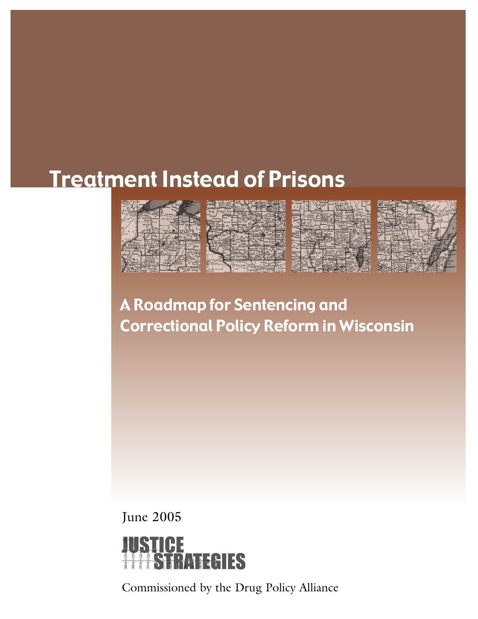# Treatment Instead of Prisons





A Roadmap for Sentencing and Correctional Policy Reform in Wisconsin

June 2005



Commissioned by the Drug Policy Alliance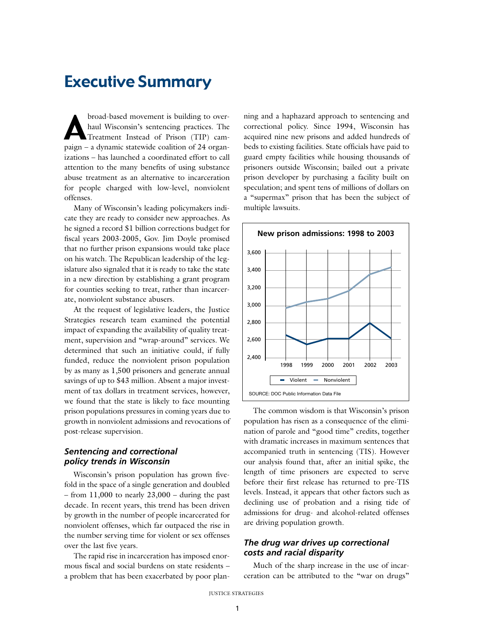## Executive Summary

broad-based movement is building to over-<br>haul Wisconsin's sentencing practices. The<br>Treatment Instead of Prison (TIP) camhaul Wisconsin's sentencing practices. The paign – a dynamic statewide coalition of 24 organizations – has launched a coordinated effort to call attention to the many benefits of using substance abuse treatment as an alternative to incarceration for people charged with low-level, nonviolent offenses.

Many of Wisconsin's leading policymakers indicate they are ready to consider new approaches. As he signed a record \$1 billion corrections budget for fiscal years 2003-2005, Gov. Jim Doyle promised that no further prison expansions would take place on his watch. The Republican leadership of the legislature also signaled that it is ready to take the state in a new direction by establishing a grant program for counties seeking to treat, rather than incarcerate, nonviolent substance abusers.

At the request of legislative leaders, the Justice Strategies research team examined the potential impact of expanding the availability of quality treatment, supervision and "wrap-around" services. We determined that such an initiative could, if fully funded, reduce the nonviolent prison population by as many as 1,500 prisoners and generate annual savings of up to \$43 million. Absent a major investment of tax dollars in treatment services, however, we found that the state is likely to face mounting prison populations pressures in coming years due to growth in nonviolent admissions and revocations of post-release supervision.

#### *Sentencing and correctional policy trends in Wisconsin*

Wisconsin's prison population has grown fivefold in the space of a single generation and doubled – from 11,000 to nearly 23,000 – during the past decade. In recent years, this trend has been driven by growth in the number of people incarcerated for nonviolent offenses, which far outpaced the rise in the number serving time for violent or sex offenses over the last five years.

The rapid rise in incarceration has imposed enormous fiscal and social burdens on state residents – a problem that has been exacerbated by poor planning and a haphazard approach to sentencing and correctional policy. Since 1994, Wisconsin has acquired nine new prisons and added hundreds of beds to existing facilities. State officials have paid to guard empty facilities while housing thousands of prisoners outside Wisconsin; bailed out a private prison developer by purchasing a facility built on speculation; and spent tens of millions of dollars on a "supermax" prison that has been the subject of multiple lawsuits.



The common wisdom is that Wisconsin's prison population has risen as a consequence of the elimination of parole and "good time" credits, together with dramatic increases in maximum sentences that accompanied truth in sentencing (TIS). However our analysis found that, after an initial spike, the length of time prisoners are expected to serve before their first release has returned to pre-TIS levels. Instead, it appears that other factors such as declining use of probation and a rising tide of admissions for drug- and alcohol-related offenses are driving population growth.

#### *The drug war drives up correctional costs and racial disparity*

Much of the sharp increase in the use of incarceration can be attributed to the "war on drugs"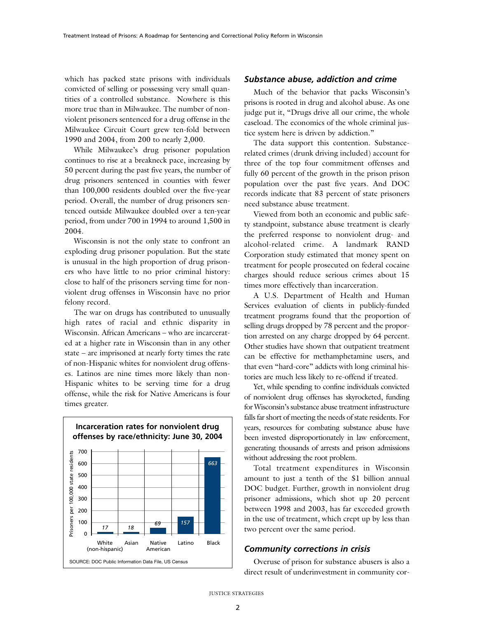which has packed state prisons with individuals convicted of selling or possessing very small quantities of a controlled substance. Nowhere is this more true than in Milwaukee. The number of nonviolent prisoners sentenced for a drug offense in the Milwaukee Circuit Court grew ten-fold between 1990 and 2004, from 200 to nearly 2,000.

While Milwaukee's drug prisoner population continues to rise at a breakneck pace, increasing by 50 percent during the past five years, the number of drug prisoners sentenced in counties with fewer than 100,000 residents doubled over the five-year period. Overall, the number of drug prisoners sentenced outside Milwaukee doubled over a ten-year period, from under 700 in 1994 to around 1,500 in 2004.

Wisconsin is not the only state to confront an exploding drug prisoner population. But the state is unusual in the high proportion of drug prisoners who have little to no prior criminal history: close to half of the prisoners serving time for nonviolent drug offenses in Wisconsin have no prior felony record.

The war on drugs has contributed to unusually high rates of racial and ethnic disparity in Wisconsin. African Americans – who are incarcerated at a higher rate in Wisconsin than in any other state – are imprisoned at nearly forty times the rate of non-Hispanic whites for nonviolent drug offenses. Latinos are nine times more likely than non-Hispanic whites to be serving time for a drug offense, while the risk for Native Americans is four times greater.



#### *Substance abuse, addiction and crime*

Much of the behavior that packs Wisconsin's prisons is rooted in drug and alcohol abuse. As one judge put it, "Drugs drive all our crime, the whole caseload. The economics of the whole criminal justice system here is driven by addiction."

The data support this contention. Substancerelated crimes (drunk driving included) account for three of the top four commitment offenses and fully 60 percent of the growth in the prison prison population over the past five years. And DOC records indicate that 83 percent of state prisoners need substance abuse treatment.

Viewed from both an economic and public safety standpoint, substance abuse treatment is clearly the preferred response to nonviolent drug- and alcohol-related crime. A landmark RAND Corporation study estimated that money spent on treatment for people prosecuted on federal cocaine charges should reduce serious crimes about 15 times more effectively than incarceration.

A U.S. Department of Health and Human Services evaluation of clients in publicly-funded treatment programs found that the proportion of selling drugs dropped by 78 percent and the proportion arrested on any charge dropped by 64 percent. Other studies have shown that outpatient treatment can be effective for methamphetamine users, and that even "hard-core" addicts with long criminal histories are much less likely to re-offend if treated.

Yet, while spending to confine individuals convicted of nonviolent drug offenses has skyrocketed, funding for Wisconsin's substance abuse treatment infrastructure falls far short of meeting the needs of state residents. For years, resources for combating substance abuse have been invested disproportionately in law enforcement, generating thousands of arrests and prison admissions without addressing the root problem.

Total treatment expenditures in Wisconsin amount to just a tenth of the \$1 billion annual DOC budget. Further, growth in nonviolent drug prisoner admissions, which shot up 20 percent between 1998 and 2003, has far exceeded growth in the use of treatment, which crept up by less than two percent over the same period.

#### *Community corrections in crisis*

Overuse of prison for substance abusers is also a direct result of underinvestment in community cor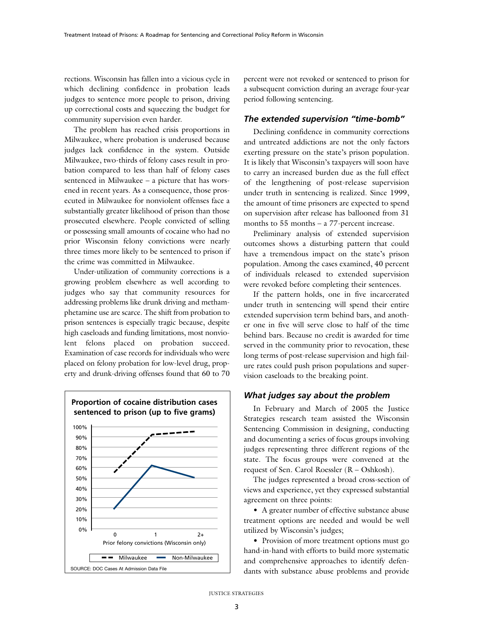rections. Wisconsin has fallen into a vicious cycle in which declining confidence in probation leads judges to sentence more people to prison, driving up correctional costs and squeezing the budget for community supervision even harder.

The problem has reached crisis proportions in Milwaukee, where probation is underused because judges lack confidence in the system. Outside Milwaukee, two-thirds of felony cases result in probation compared to less than half of felony cases sentenced in Milwaukee – a picture that has worsened in recent years. As a consequence, those prosecuted in Milwaukee for nonviolent offenses face a substantially greater likelihood of prison than those prosecuted elsewhere. People convicted of selling or possessing small amounts of cocaine who had no prior Wisconsin felony convictions were nearly three times more likely to be sentenced to prison if the crime was committed in Milwaukee.

Under-utilization of community corrections is a growing problem elsewhere as well according to judges who say that community resources for addressing problems like drunk driving and methamphetamine use are scarce. The shift from probation to prison sentences is especially tragic because, despite high caseloads and funding limitations, most nonviolent felons placed on probation succeed. Examination of case records for individuals who were placed on felony probation for low-level drug, property and drunk-driving offenses found that 60 to 70



percent were not revoked or sentenced to prison for a subsequent conviction during an average four-year period following sentencing.

#### *The extended supervision "time-bomb"*

Declining confidence in community corrections and untreated addictions are not the only factors exerting pressure on the state's prison population. It is likely that Wisconsin's taxpayers will soon have to carry an increased burden due as the full effect of the lengthening of post-release supervision under truth in sentencing is realized. Since 1999, the amount of time prisoners are expected to spend on supervision after release has ballooned from 31 months to 55 months – a 77-percent increase.

Preliminary analysis of extended supervision outcomes shows a disturbing pattern that could have a tremendous impact on the state's prison population. Among the cases examined, 40 percent of individuals released to extended supervision were revoked before completing their sentences.

If the pattern holds, one in five incarcerated under truth in sentencing will spend their entire extended supervision term behind bars, and another one in five will serve close to half of the time behind bars. Because no credit is awarded for time served in the community prior to revocation, these long terms of post-release supervision and high failure rates could push prison populations and supervision caseloads to the breaking point.

#### *What judges say about the problem*

In February and March of 2005 the Justice Strategies research team assisted the Wisconsin Sentencing Commission in designing, conducting and documenting a series of focus groups involving judges representing three different regions of the state. The focus groups were convened at the request of Sen. Carol Roessler (R – Oshkosh).

The judges represented a broad cross-section of views and experience, yet they expressed substantial agreement on three points:

• A greater number of effective substance abuse treatment options are needed and would be well utilized by Wisconsin's judges;

• Provision of more treatment options must go hand-in-hand with efforts to build more systematic and comprehensive approaches to identify defendants with substance abuse problems and provide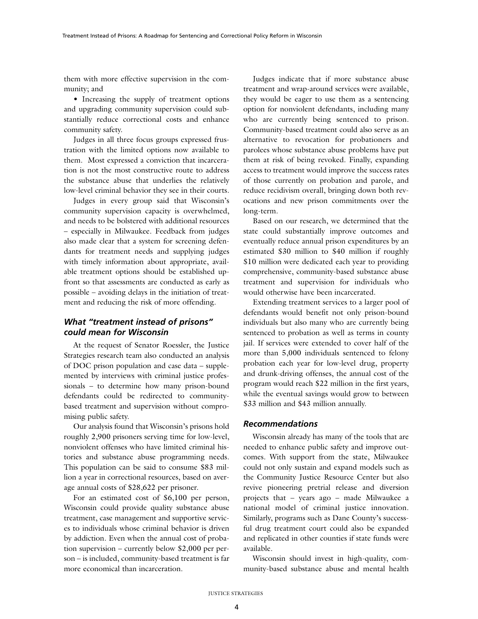them with more effective supervision in the community; and

• Increasing the supply of treatment options and upgrading community supervision could substantially reduce correctional costs and enhance community safety.

Judges in all three focus groups expressed frustration with the limited options now available to them. Most expressed a conviction that incarceration is not the most constructive route to address the substance abuse that underlies the relatively low-level criminal behavior they see in their courts.

Judges in every group said that Wisconsin's community supervision capacity is overwhelmed, and needs to be bolstered with additional resources – especially in Milwaukee. Feedback from judges also made clear that a system for screening defendants for treatment needs and supplying judges with timely information about appropriate, available treatment options should be established upfront so that assessments are conducted as early as possible – avoiding delays in the initiation of treatment and reducing the risk of more offending.

#### *What "treatment instead of prisons" could mean for Wisconsin*

At the request of Senator Roessler, the Justice Strategies research team also conducted an analysis of DOC prison population and case data – supplemented by interviews with criminal justice professionals – to determine how many prison-bound defendants could be redirected to communitybased treatment and supervision without compromising public safety.

Our analysis found that Wisconsin's prisons hold roughly 2,900 prisoners serving time for low-level, nonviolent offenses who have limited criminal histories and substance abuse programming needs. This population can be said to consume \$83 million a year in correctional resources, based on average annual costs of \$28,622 per prisoner.

For an estimated cost of \$6,100 per person, Wisconsin could provide quality substance abuse treatment, case management and supportive services to individuals whose criminal behavior is driven by addiction. Even when the annual cost of probation supervision – currently below \$2,000 per person – is included, community-based treatment is far more economical than incarceration.

Judges indicate that if more substance abuse treatment and wrap-around services were available, they would be eager to use them as a sentencing option for nonviolent defendants, including many who are currently being sentenced to prison. Community-based treatment could also serve as an alternative to revocation for probationers and parolees whose substance abuse problems have put them at risk of being revoked. Finally, expanding access to treatment would improve the success rates of those currently on probation and parole, and reduce recidivism overall, bringing down both revocations and new prison commitments over the long-term.

Based on our research, we determined that the state could substantially improve outcomes and eventually reduce annual prison expenditures by an estimated \$30 million to \$40 million if roughly \$10 million were dedicated each year to providing comprehensive, community-based substance abuse treatment and supervision for individuals who would otherwise have been incarcerated.

Extending treatment services to a larger pool of defendants would benefit not only prison-bound individuals but also many who are currently being sentenced to probation as well as terms in county jail. If services were extended to cover half of the more than 5,000 individuals sentenced to felony probation each year for low-level drug, property and drunk-driving offenses, the annual cost of the program would reach \$22 million in the first years, while the eventual savings would grow to between \$33 million and \$43 million annually.

#### *Recommendations*

Wisconsin already has many of the tools that are needed to enhance public safety and improve outcomes. With support from the state, Milwaukee could not only sustain and expand models such as the Community Justice Resource Center but also revive pioneering pretrial release and diversion projects that – years ago – made Milwaukee a national model of criminal justice innovation. Similarly, programs such as Dane County's successful drug treatment court could also be expanded and replicated in other counties if state funds were available.

Wisconsin should invest in high-quality, community-based substance abuse and mental health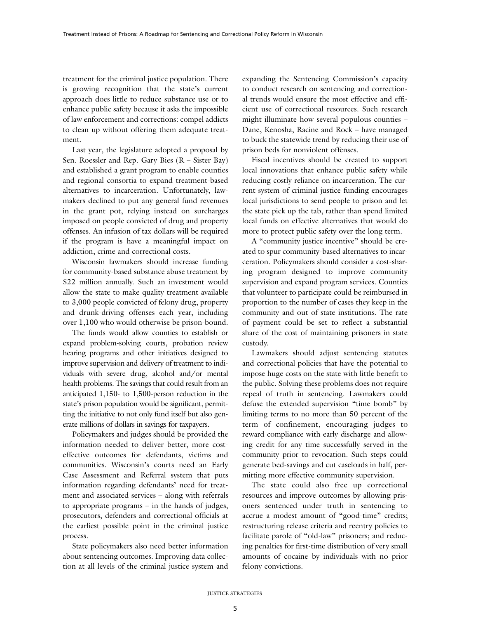treatment for the criminal justice population. There is growing recognition that the state's current approach does little to reduce substance use or to enhance public safety because it asks the impossible of law enforcement and corrections: compel addicts to clean up without offering them adequate treatment.

Last year, the legislature adopted a proposal by Sen. Roessler and Rep. Gary Bies (R – Sister Bay) and established a grant program to enable counties and regional consortia to expand treatment-based alternatives to incarceration. Unfortunately, lawmakers declined to put any general fund revenues in the grant pot, relying instead on surcharges imposed on people convicted of drug and property offenses. An infusion of tax dollars will be required if the program is have a meaningful impact on addiction, crime and correctional costs.

Wisconsin lawmakers should increase funding for community-based substance abuse treatment by \$22 million annually. Such an investment would allow the state to make quality treatment available to 3,000 people convicted of felony drug, property and drunk-driving offenses each year, including over 1,100 who would otherwise be prison-bound.

The funds would allow counties to establish or expand problem-solving courts, probation review hearing programs and other initiatives designed to improve supervision and delivery of treatment to individuals with severe drug, alcohol and/or mental health problems. The savings that could result from an anticipated 1,150- to 1,500-person reduction in the state's prison population would be significant, permitting the initiative to not only fund itself but also generate millions of dollars in savings for taxpayers.

Policymakers and judges should be provided the information needed to deliver better, more costeffective outcomes for defendants, victims and communities. Wisconsin's courts need an Early Case Assessment and Referral system that puts information regarding defendants' need for treatment and associated services – along with referrals to appropriate programs – in the hands of judges, prosecutors, defenders and correctional officials at the earliest possible point in the criminal justice process.

State policymakers also need better information about sentencing outcomes. Improving data collection at all levels of the criminal justice system and expanding the Sentencing Commission's capacity to conduct research on sentencing and correctional trends would ensure the most effective and efficient use of correctional resources. Such research might illuminate how several populous counties – Dane, Kenosha, Racine and Rock – have managed to buck the statewide trend by reducing their use of prison beds for nonviolent offenses.

Fiscal incentives should be created to support local innovations that enhance public safety while reducing costly reliance on incarceration. The current system of criminal justice funding encourages local jurisdictions to send people to prison and let the state pick up the tab, rather than spend limited local funds on effective alternatives that would do more to protect public safety over the long term.

A "community justice incentive" should be created to spur community-based alternatives to incarceration. Policymakers should consider a cost-sharing program designed to improve community supervision and expand program services. Counties that volunteer to participate could be reimbursed in proportion to the number of cases they keep in the community and out of state institutions. The rate of payment could be set to reflect a substantial share of the cost of maintaining prisoners in state custody.

Lawmakers should adjust sentencing statutes and correctional policies that have the potential to impose huge costs on the state with little benefit to the public. Solving these problems does not require repeal of truth in sentencing. Lawmakers could defuse the extended supervision "time bomb" by limiting terms to no more than 50 percent of the term of confinement, encouraging judges to reward compliance with early discharge and allowing credit for any time successfully served in the community prior to revocation. Such steps could generate bed-savings and cut caseloads in half, permitting more effective community supervision.

The state could also free up correctional resources and improve outcomes by allowing prisoners sentenced under truth in sentencing to accrue a modest amount of "good-time" credits; restructuring release criteria and reentry policies to facilitate parole of "old-law" prisoners; and reducing penalties for first-time distribution of very small amounts of cocaine by individuals with no prior felony convictions.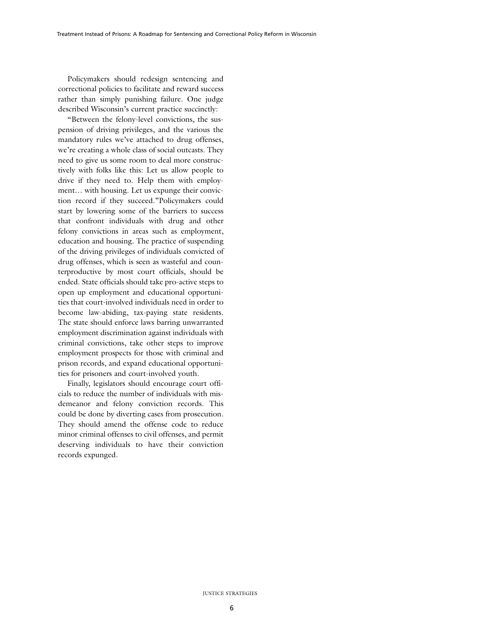Policymakers should redesign sentencing and correctional policies to facilitate and reward success rather than simply punishing failure. One judge described Wisconsin's current practice succinctly:

"Between the felony-level convictions, the suspension of driving privileges, and the various the mandatory rules we've attached to drug offenses, we're creating a whole class of social outcasts. They need to give us some room to deal more constructively with folks like this: Let us allow people to drive if they need to. Help them with employment… with housing. Let us expunge their conviction record if they succeed."Policymakers could start by lowering some of the barriers to success that confront individuals with drug and other felony convictions in areas such as employment, education and housing. The practice of suspending of the driving privileges of individuals convicted of drug offenses, which is seen as wasteful and counterproductive by most court officials, should be ended. State officials should take pro-active steps to open up employment and educational opportunities that court-involved individuals need in order to become law-abiding, tax-paying state residents. The state should enforce laws barring unwarranted employment discrimination against individuals with criminal convictions, take other steps to improve employment prospects for those with criminal and prison records, and expand educational opportunities for prisoners and court-involved youth.

Finally, legislators should encourage court officials to reduce the number of individuals with misdemeanor and felony conviction records. This could be done by diverting cases from prosecution. They should amend the offense code to reduce minor criminal offenses to civil offenses, and permit deserving individuals to have their conviction records expunged.